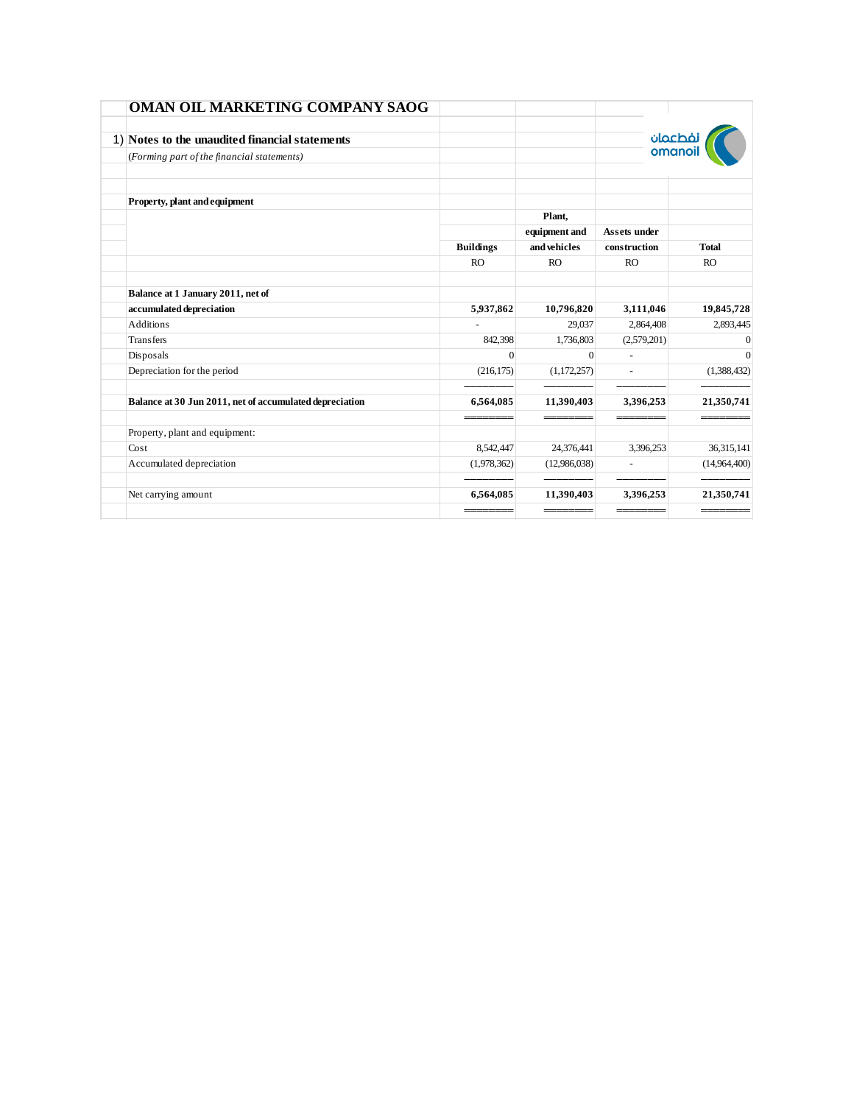| <b>OMAN OIL MARKETING COMPANY SAOG</b>                  |                  |               |                          |              |
|---------------------------------------------------------|------------------|---------------|--------------------------|--------------|
| 1) Notes to the unaudited financial statements          |                  |               |                          | فطعمان       |
| (Forming part of the financial statements)              |                  |               |                          | omanoi       |
|                                                         |                  |               |                          |              |
| Property, plant and equipment                           |                  |               |                          |              |
|                                                         |                  | Plant,        |                          |              |
|                                                         |                  | equipment and | <b>Assets under</b>      |              |
|                                                         | <b>Buildings</b> | and vehicles  | construction             | <b>Total</b> |
|                                                         | <b>RO</b>        | RO            | RO                       | RO           |
| Balance at 1 January 2011, net of                       |                  |               |                          |              |
| accumulated depreciation                                | 5,937,862        | 10,796,820    | 3,111,046                | 19,845,728   |
| <b>Additions</b>                                        |                  | 29,037        | 2,864,408                | 2,893,445    |
| Transfers                                               | 842,398          | 1,736,803     | (2,579,201)              | $\Omega$     |
| Disposals                                               | $\Omega$         | $\Omega$      | $\equiv$                 | $\theta$     |
| Depreciation for the period                             | (216, 175)       | (1,172,257)   |                          | (1,388,432)  |
| Balance at 30 Jun 2011, net of accumulated depreciation | 6,564,085        | 11,390,403    | 3,396,253                | 21,350,741   |
|                                                         |                  |               |                          |              |
| Property, plant and equipment:                          |                  |               |                          |              |
| Cost                                                    | 8.542.447        | 24,376,441    | 3.396.253                | 36,315,141   |
| Accumulated depreciation                                | (1,978,362)      | (12,986,038)  | $\overline{\phantom{a}}$ | (14,964,400) |
| Net carrying amount                                     | 6,564,085        | 11,390,403    | 3,396,253                | 21,350,741   |
|                                                         |                  |               |                          |              |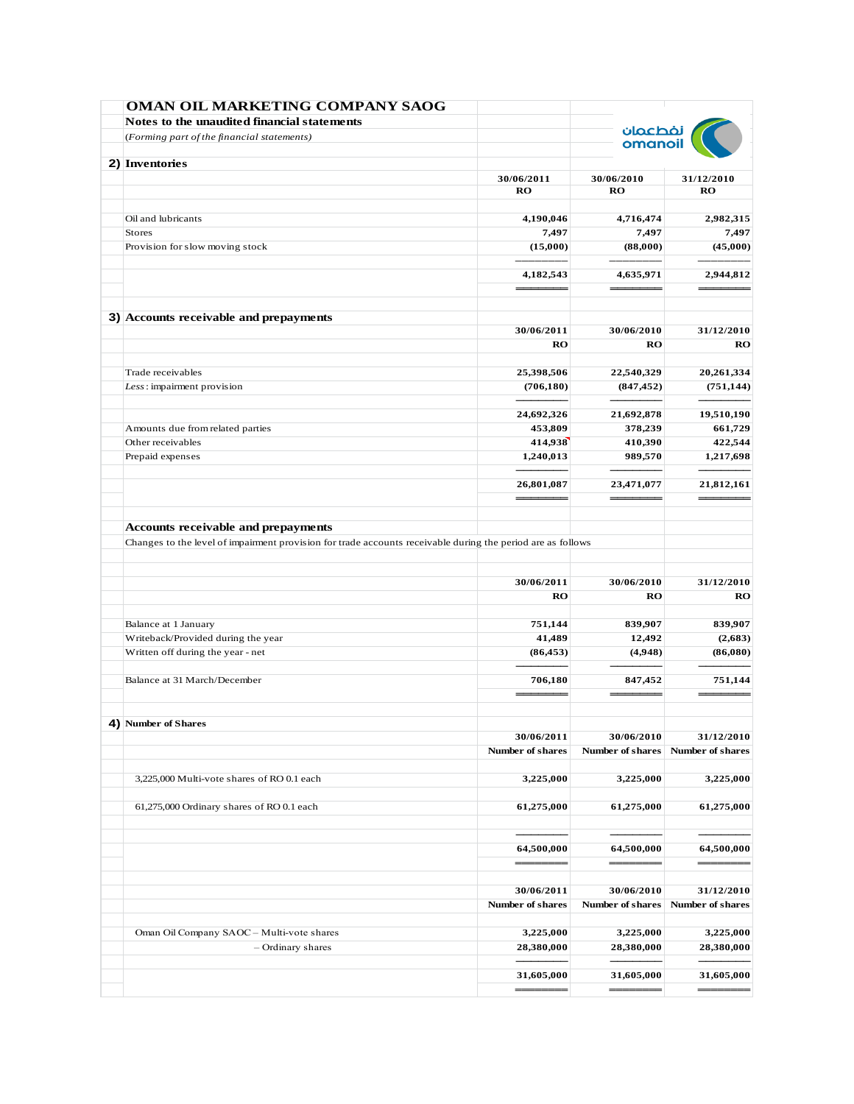| <b>OMAN OIL MARKETING COMPANY SAOG</b><br>Notes to the unaudited financial statements                       |                             |                         |                    |
|-------------------------------------------------------------------------------------------------------------|-----------------------------|-------------------------|--------------------|
| (Forming part of the financial statements)                                                                  |                             | نفطعمان<br>omanoil      |                    |
|                                                                                                             |                             |                         |                    |
| 2) Inventories                                                                                              |                             |                         |                    |
|                                                                                                             | 30/06/2011<br>$\mathbf{RO}$ | 30/06/2010<br>RO        | 31/12/2010<br>RO   |
| Oil and lubricants                                                                                          | 4,190,046                   | 4,716,474               | 2,982,315          |
| <b>Stores</b>                                                                                               | 7,497                       | 7,497                   | 7,497              |
| Provision for slow moving stock                                                                             | (15,000)                    | (88,000)                | (45,000)           |
|                                                                                                             | 4,182,543                   | 4,635,971               | 2,944,812          |
|                                                                                                             |                             |                         |                    |
| 3) Accounts receivable and prepayments                                                                      |                             |                         |                    |
|                                                                                                             | 30/06/2011                  | 30/06/2010              | 31/12/2010         |
|                                                                                                             | RO                          | RO                      | RO                 |
| Trade receivables                                                                                           | 25,398,506                  | 22,540,329              | 20,261,334         |
| Less: impairment provision                                                                                  | (706, 180)                  | (847, 452)              | (751, 144)         |
|                                                                                                             | 24,692,326                  | 21,692,878              | 19,510,190         |
| Amounts due from related parties                                                                            | 453,809                     | 378,239                 | 661,729            |
| Other receivables                                                                                           | 414,938                     | 410,390                 | 422,544            |
| Prepaid expenses                                                                                            | 1,240,013                   | 989,570                 | 1,217,698          |
|                                                                                                             | 26,801,087                  | 23,471,077              | 21,812,161         |
|                                                                                                             |                             |                         |                    |
| Changes to the level of impairment provision for trade accounts receivable during the period are as follows | 30/06/2011                  | 30/06/2010              | 31/12/2010         |
|                                                                                                             | RO                          | RO                      | RO                 |
|                                                                                                             |                             |                         |                    |
| Balance at 1 January<br>Writeback/Provided during the year                                                  | 751,144<br>41,489           | 839,907<br>12,492       | 839,907<br>(2,683) |
| Written off during the year - net                                                                           | (86, 453)                   | (4,948)                 | (86,080)           |
|                                                                                                             |                             |                         |                    |
| Balance at 31 March/December                                                                                | 706,180                     | 847,452                 | 751,144            |
| 4) Number of Shares                                                                                         |                             |                         |                    |
|                                                                                                             | 30/06/2011                  | 30/06/2010              | 31/12/2010         |
|                                                                                                             | <b>Number of shares</b>     | Number of shares        | Number of shares   |
| 3,225,000 Multi-vote shares of RO 0.1 each                                                                  | 3,225,000                   | 3,225,000               | 3,225,000          |
| 61,275,000 Ordinary shares of RO 0.1 each                                                                   | 61,275,000                  | 61,275,000              | 61,275,000         |
|                                                                                                             |                             |                         |                    |
|                                                                                                             | 64,500,000                  | 64,500,000              | 64,500,000         |
|                                                                                                             | 30/06/2011                  | 30/06/2010              | 31/12/2010         |
|                                                                                                             | <b>Number of shares</b>     | <b>Number of shares</b> | Number of shares   |
| Oman Oil Company SAOC - Multi-vote shares                                                                   | 3,225,000                   | 3,225,000               | 3,225,000          |
| - Ordinary shares                                                                                           | 28,380,000                  | 28,380,000              | 28,380,000         |
|                                                                                                             | 31,605,000                  | 31,605,000              | 31,605,000         |
|                                                                                                             |                             |                         |                    |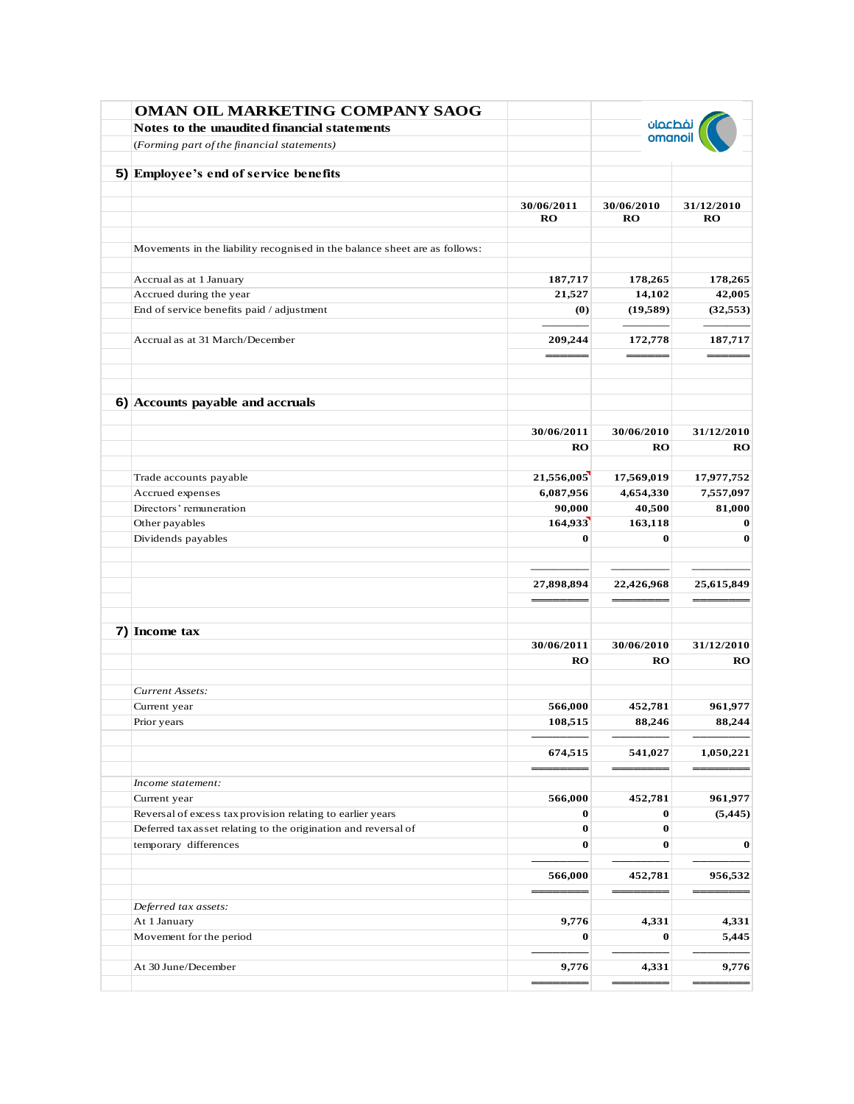| OMAN OIL MARKETING COMPANY SAOG                                            |            |                    |            |
|----------------------------------------------------------------------------|------------|--------------------|------------|
| Notes to the unaudited financial statements                                |            | نفطعمان<br>omanoil |            |
| (Forming part of the financial statements)                                 |            |                    |            |
| 5) Employee's end of service benefits                                      |            |                    |            |
|                                                                            |            |                    |            |
|                                                                            | 30/06/2011 | 30/06/2010         | 31/12/2010 |
|                                                                            | <b>RO</b>  | <b>RO</b>          | RO         |
| Movements in the liability recognised in the balance sheet are as follows: |            |                    |            |
| Accrual as at 1 January                                                    | 187,717    | 178,265            | 178,265    |
| Accrued during the year                                                    | 21,527     | 14,102             | 42,005     |
| End of service benefits paid / adjustment                                  | (0)        | (19,589)           | (32, 553)  |
|                                                                            |            |                    |            |
| Accrual as at 31 March/December                                            | 209,244    | 172,778            | 187,717    |
| 6) Accounts payable and accruals                                           |            |                    |            |
|                                                                            |            |                    |            |
|                                                                            | 30/06/2011 | 30/06/2010         | 31/12/2010 |
|                                                                            | RO         | RO                 | RO         |
| Trade accounts payable                                                     | 21,556,005 | 17,569,019         | 17,977,752 |
| Accrued expenses                                                           | 6,087,956  | 4,654,330          | 7,557,097  |
| Directors' remuneration                                                    | 90,000     | 40,500             | 81,000     |
| Other payables                                                             | 164,933    | 163,118            | 0          |
| Dividends payables                                                         | $\bf{0}$   | $\bf{0}$           | $\bf{0}$   |
|                                                                            |            |                    |            |
|                                                                            | 27,898,894 | 22,426,968         | 25,615,849 |
|                                                                            |            |                    |            |
|                                                                            |            |                    |            |
| 7) Income tax                                                              | 30/06/2011 | 30/06/2010         | 31/12/2010 |
|                                                                            | RO         | <b>RO</b>          | RO         |
|                                                                            |            |                    |            |
| Current Assets:                                                            |            |                    |            |
| Current year                                                               | 566,000    | 452,781            | 961,977    |
| Prior years                                                                | 108,515    | 88,246             | 88,244     |
|                                                                            |            |                    |            |
|                                                                            | 674,515    | 541,027            | 1,050,221  |
|                                                                            |            |                    |            |
| Income statement:                                                          |            |                    |            |
| Current year                                                               | 566,000    | 452,781            | 961,977    |
| Reversal of excess tax provision relating to earlier years                 | $\bf{0}$   | $\bf{0}$           | (5, 445)   |
| Deferred tax asset relating to the origination and reversal of             | $\bf{0}$   | $\bf{0}$           |            |
| temporary differences                                                      | $\bf{0}$   | $\bf{0}$           | $\bf{0}$   |
|                                                                            | 566,000    | 452,781            | 956,532    |
|                                                                            |            |                    |            |
| Deferred tax assets:                                                       |            |                    |            |
| At 1 January                                                               | 9,776      | 4,331              | 4,331      |
| Movement for the period                                                    | $\bf{0}$   | $\bf{0}$           | 5,445      |
|                                                                            |            |                    |            |
| At 30 June/December                                                        | 9,776      | 4,331              | 9,776      |
|                                                                            |            |                    |            |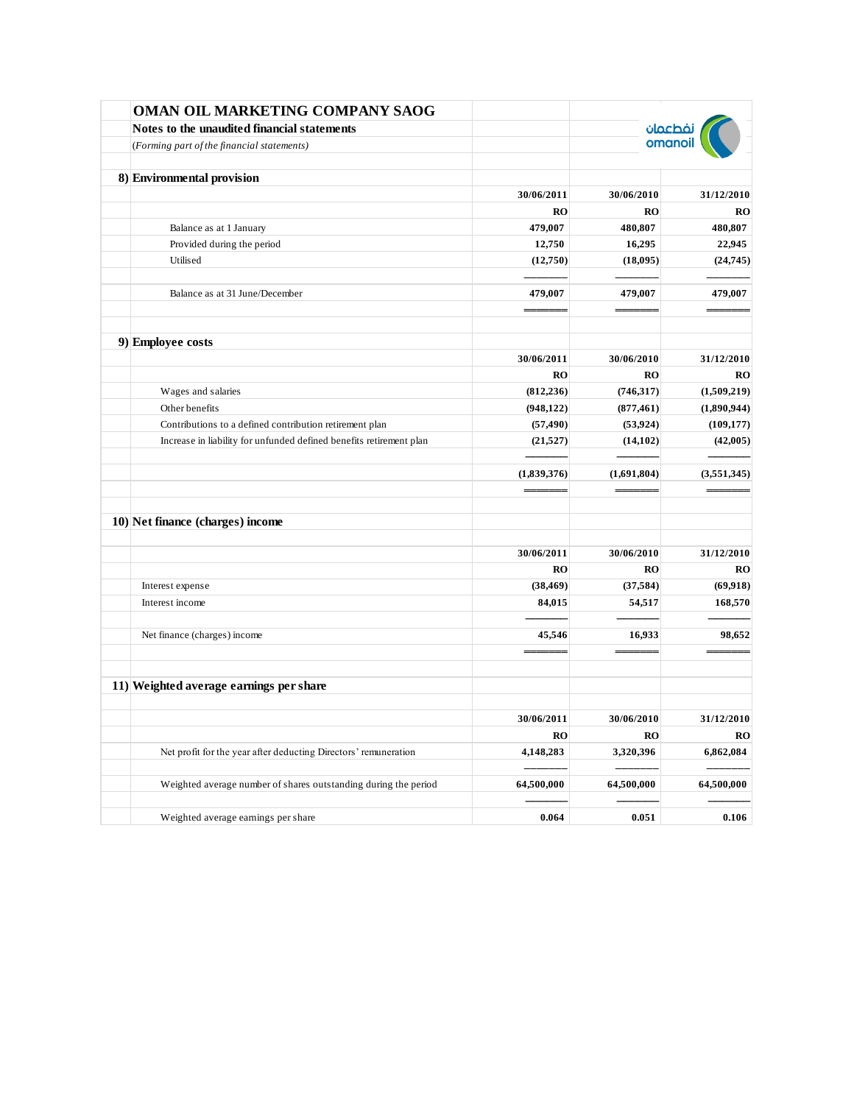| OMAN OIL MARKETING COMPANY SAOG                                     |             |                    |             |
|---------------------------------------------------------------------|-------------|--------------------|-------------|
| Notes to the unaudited financial statements                         |             | نفطعمان<br>omanoil |             |
| (Forming part of the financial statements)                          |             |                    |             |
| 8) Environmental provision                                          |             |                    |             |
|                                                                     | 30/06/2011  | 30/06/2010         | 31/12/2010  |
|                                                                     | <b>RO</b>   | RO                 | RO          |
| Balance as at 1 January                                             | 479,007     | 480,807            | 480,807     |
| Provided during the period                                          | 12,750      | 16,295             | 22,945      |
| Utilised                                                            | (12,750)    | (18,095)           | (24, 745)   |
| Balance as at 31 June/December                                      | 479,007     | 479,007            | 479,007     |
|                                                                     |             |                    |             |
|                                                                     |             |                    |             |
| 9) Employee costs                                                   | 30/06/2011  | 30/06/2010         | 31/12/2010  |
|                                                                     | <b>RO</b>   | RO                 | RO          |
| Wages and salaries                                                  | (812, 236)  | (746,317)          | (1,509,219) |
| Other benefits                                                      | (948, 122)  | (877, 461)         | (1,890,944) |
| Contributions to a defined contribution retirement plan             | (57, 490)   | (53, 924)          | (109, 177)  |
| Increase in liability for unfunded defined benefits retirement plan | (21, 527)   | (14, 102)          | (42,005)    |
|                                                                     | (1,839,376) | (1,691,804)        | (3,551,345) |
| 10) Net finance (charges) income                                    |             |                    |             |
|                                                                     |             |                    |             |
|                                                                     | 30/06/2011  | 30/06/2010         | 31/12/2010  |
|                                                                     | <b>RO</b>   | RO                 | RO          |
| Interest expense                                                    | (38, 469)   | (37, 584)          | (69, 918)   |
| Interest income                                                     | 84,015      | 54,517             | 168,570     |
| Net finance (charges) income                                        | 45,546      | 16,933             | 98,652      |
|                                                                     |             |                    |             |
| 11) Weighted average earnings per share                             |             |                    |             |
|                                                                     | 30/06/2011  | 30/06/2010         | 31/12/2010  |
|                                                                     | <b>RO</b>   | <b>RO</b>          | <b>RO</b>   |
| Net profit for the year after deducting Directors' remuneration     | 4,148,283   | 3,320,396          | 6,862,084   |
|                                                                     |             |                    |             |
| Weighted average number of shares outstanding during the period     | 64,500,000  | 64,500,000         | 64,500,000  |
| Weighted average earnings per share                                 | 0.064       | 0.051              | 0.106       |